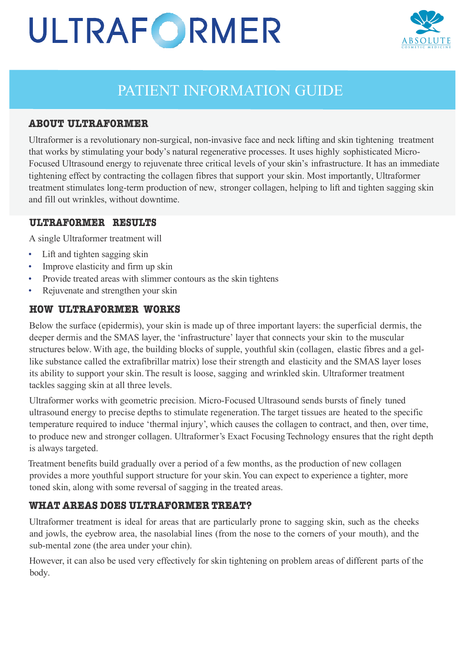# ULTRAFORMER



# PATIENT INFORMATION GUIDE

## **ABOUT ULTRAFORMER**

Ultraformer is a revolutionary non-surgical, non-invasive face and neck lifting and skin tightening treatment that works by stimulating your body's natural regenerative processes. It uses highly sophisticated Micro-Focused Ultrasound energy to rejuvenate three critical levels of your skin's infrastructure. It has an immediate tightening effect by contracting the collagen fibres that support your skin. Most importantly, Ultraformer treatment stimulates long-term production of new, stronger collagen, helping to lift and tighten sagging skin and fill out wrinkles, without downtime.

#### **ULTRAFORMER RESULTS**

A single Ultraformer treatment will

- Lift and tighten sagging skin
- Improve elasticity and firm up skin
- Provide treated areas with slimmer contours as the skin tightens
- Rejuvenate and strengthen your skin

### **HOW ULTRAFORMER WORKS**

Below the surface (epidermis), your skin is made up of three important layers: the superficial dermis, the deeper dermis and the SMAS layer, the 'infrastructure' layer that connects your skin to the muscular structures below. With age, the building blocks of supple, youthful skin (collagen, elastic fibres and a gellike substance called the extrafibrillar matrix) lose their strength and elasticity and the SMAS layer loses its ability to support your skin.The result is loose, sagging and wrinkled skin. Ultraformer treatment tackles sagging skin at all three levels.

Ultraformer works with geometric precision. Micro-Focused Ultrasound sends bursts of finely tuned ultrasound energy to precise depths to stimulate regeneration.The target tissues are heated to the specific temperature required to induce 'thermal injury', which causes the collagen to contract, and then, over time, to produce new and stronger collagen. Ultraformer's Exact FocusingTechnology ensures that the right depth is always targeted.

Treatment benefits build gradually over a period of a few months, as the production of new collagen provides a more youthful support structure for your skin.You can expect to experience a tighter, more toned skin, along with some reversal of sagging in the treated areas.

# **WHAT AREAS DOES ULTRAFORMER TREAT?**

Ultraformer treatment is ideal for areas that are particularly prone to sagging skin, such as the cheeks and jowls, the eyebrow area, the nasolabial lines (from the nose to the corners of your mouth), and the sub-mental zone (the area under your chin).

However, it can also be used very effectively for skin tightening on problem areas of different parts of the body.